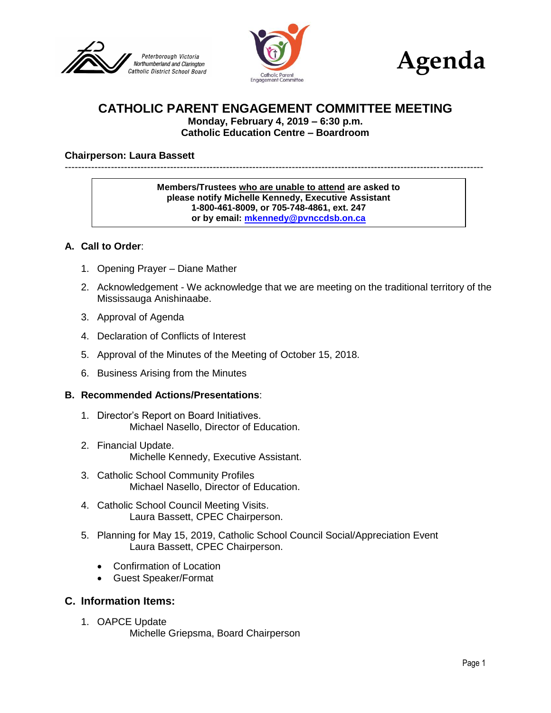





# **CATHOLIC PARENT ENGAGEMENT COMMITTEE MEETING**

**Monday, February 4, 2019 – 6:30 p.m. Catholic Education Centre – Boardroom**

## **Chairperson: Laura Bassett**

-------------------------------------------------------------------------------------------------------------------------------

**Members/Trustees who are unable to attend are asked to please notify Michelle Kennedy, Executive Assistant 1-800-461-8009, or 705-748-4861, ext. 247 or by email: [mkennedy@pvnccdsb.on.ca](mailto:mkennedy@pvnccdsb.on.ca)**

#### **A. Call to Order**:

- 1. Opening Prayer Diane Mather
- 2. Acknowledgement We acknowledge that we are meeting on the traditional territory of the Mississauga Anishinaabe.
- 3. Approval of Agenda
- 4. Declaration of Conflicts of Interest
- 5. Approval of the Minutes of the Meeting of October 15, 2018.
- 6. Business Arising from the Minutes

#### **B. Recommended Actions/Presentations**:

- 1. Director's Report on Board Initiatives. Michael Nasello, Director of Education.
- 2. Financial Update. Michelle Kennedy, Executive Assistant.
- 3. Catholic School Community Profiles Michael Nasello, Director of Education.
- 4. Catholic School Council Meeting Visits. Laura Bassett, CPEC Chairperson.
- 5. Planning for May 15, 2019, Catholic School Council Social/Appreciation Event Laura Bassett, CPEC Chairperson.
	- Confirmation of Location
	- Guest Speaker/Format

# **C. Information Items:**

1. OAPCE Update Michelle Griepsma, Board Chairperson